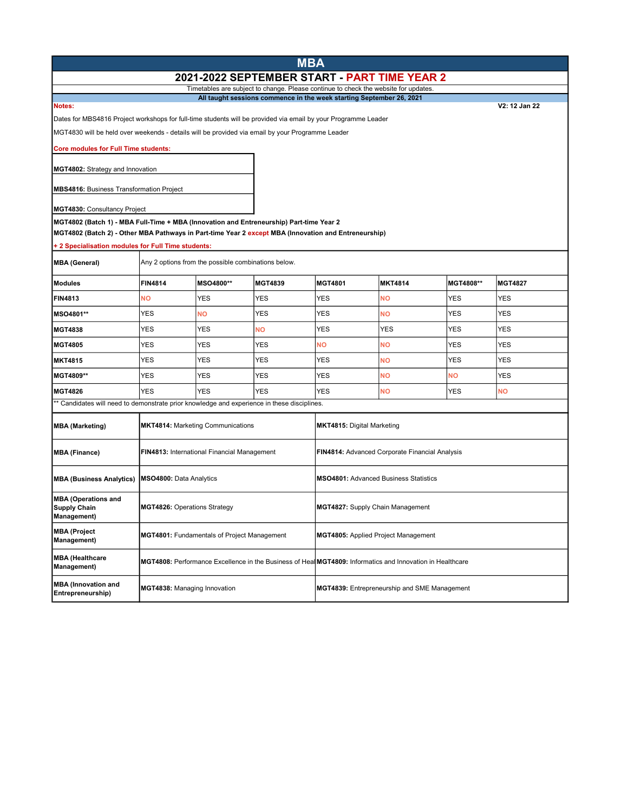| <b>MBA</b>                                                                                                     |                                                                                                           |            |                |                                                |                |            |                |  |
|----------------------------------------------------------------------------------------------------------------|-----------------------------------------------------------------------------------------------------------|------------|----------------|------------------------------------------------|----------------|------------|----------------|--|
| 2021-2022 SEPTEMBER START - PART TIME YEAR 2                                                                   |                                                                                                           |            |                |                                                |                |            |                |  |
| Timetables are subject to change. Please continue to check the website for updates.                            |                                                                                                           |            |                |                                                |                |            |                |  |
| Notes:                                                                                                         | All taught sessions commence in the week starting September 26, 2021<br>V2: 12 Jan 22                     |            |                |                                                |                |            |                |  |
| Dates for MBS4816 Project workshops for full-time students will be provided via email by your Programme Leader |                                                                                                           |            |                |                                                |                |            |                |  |
| MGT4830 will be held over weekends - details will be provided via email by your Programme Leader               |                                                                                                           |            |                |                                                |                |            |                |  |
| <b>Core modules for Full Time students:</b>                                                                    |                                                                                                           |            |                |                                                |                |            |                |  |
| MGT4802: Strategy and Innovation                                                                               |                                                                                                           |            |                |                                                |                |            |                |  |
|                                                                                                                |                                                                                                           |            |                |                                                |                |            |                |  |
| <b>MBS4816: Business Transformation Project</b>                                                                |                                                                                                           |            |                |                                                |                |            |                |  |
| MGT4830: Consultancy Project                                                                                   |                                                                                                           |            |                |                                                |                |            |                |  |
| MGT4802 (Batch 1) - MBA Full-Time + MBA (Innovation and Entreneurship) Part-time Year 2                        |                                                                                                           |            |                |                                                |                |            |                |  |
| MGT4802 (Batch 2) - Other MBA Pathways in Part-time Year 2 except MBA (Innovation and Entreneurship)           |                                                                                                           |            |                |                                                |                |            |                |  |
| + 2 Specialisation modules for Full Time students:                                                             |                                                                                                           |            |                |                                                |                |            |                |  |
| MBA (General)                                                                                                  | Any 2 options from the possible combinations below.                                                       |            |                |                                                |                |            |                |  |
| Modules                                                                                                        | <b>FIN4814</b>                                                                                            | MSO4800**  | <b>MGT4839</b> | <b>MGT4801</b>                                 | <b>MKT4814</b> | MGT4808**  | <b>MGT4827</b> |  |
| <b>FIN4813</b>                                                                                                 | <b>NO</b>                                                                                                 | <b>YES</b> | YES            | <b>YES</b>                                     | <b>NO</b>      | YES        | <b>YES</b>     |  |
| <b>MSO4801**</b>                                                                                               | YES                                                                                                       | <b>NO</b>  | YES            | <b>YES</b>                                     | <b>NO</b>      | YES        | <b>YES</b>     |  |
| <b>MGT4838</b>                                                                                                 | <b>YES</b>                                                                                                | <b>YES</b> | <b>NO</b>      | <b>YES</b>                                     | <b>YES</b>     | <b>YES</b> | <b>YES</b>     |  |
| <b>MGT4805</b>                                                                                                 | YES                                                                                                       | <b>YES</b> | YES            | <b>NO</b>                                      | NΟ             | YES        | YES            |  |
| <b>MKT4815</b>                                                                                                 | <b>YES</b>                                                                                                | <b>YES</b> | YES            | <b>YES</b>                                     | <b>NO</b>      | YES        | <b>YES</b>     |  |
| MGT4809**                                                                                                      | YES                                                                                                       | YES        | YES            | YES                                            | NΟ             | NΟ         | YES            |  |
| <b>MGT4826</b>                                                                                                 | <b>YES</b>                                                                                                | <b>YES</b> | <b>YES</b>     | <b>YES</b>                                     | <b>NO</b>      | YES        | <b>NO</b>      |  |
| ** Candidates will need to demonstrate prior knowledge and experience in these disciplines.                    |                                                                                                           |            |                |                                                |                |            |                |  |
| <b>MBA (Marketing)</b>                                                                                         | <b>MKT4814: Marketing Communications</b>                                                                  |            |                | <b>MKT4815: Digital Marketing</b>              |                |            |                |  |
| MBA (Finance)                                                                                                  | FIN4813: International Financial Management                                                               |            |                | FIN4814: Advanced Corporate Financial Analysis |                |            |                |  |
| <b>MBA (Business Analytics)</b>                                                                                | MSO4800: Data Analytics                                                                                   |            |                | <b>MSO4801: Advanced Business Statistics</b>   |                |            |                |  |
| <b>MBA (Operations and</b><br><b>Supply Chain</b><br><b>Management)</b>                                        | <b>MGT4826: Operations Strategy</b>                                                                       |            |                | <b>MGT4827:</b> Supply Chain Management        |                |            |                |  |
| <b>MBA (Project</b><br>Management)                                                                             | MGT4801: Fundamentals of Project Management                                                               |            |                | MGT4805: Applied Project Management            |                |            |                |  |
| <b>MBA (Healthcare</b><br>Management)                                                                          | MGT4808: Performance Excellence in the Business of Heal MGT4809: Informatics and Innovation in Healthcare |            |                |                                                |                |            |                |  |
| <b>MBA (Innovation and</b><br>Entrepreneurship)                                                                | MGT4838: Managing Innovation                                                                              |            |                | MGT4839: Entrepreneurship and SME Management   |                |            |                |  |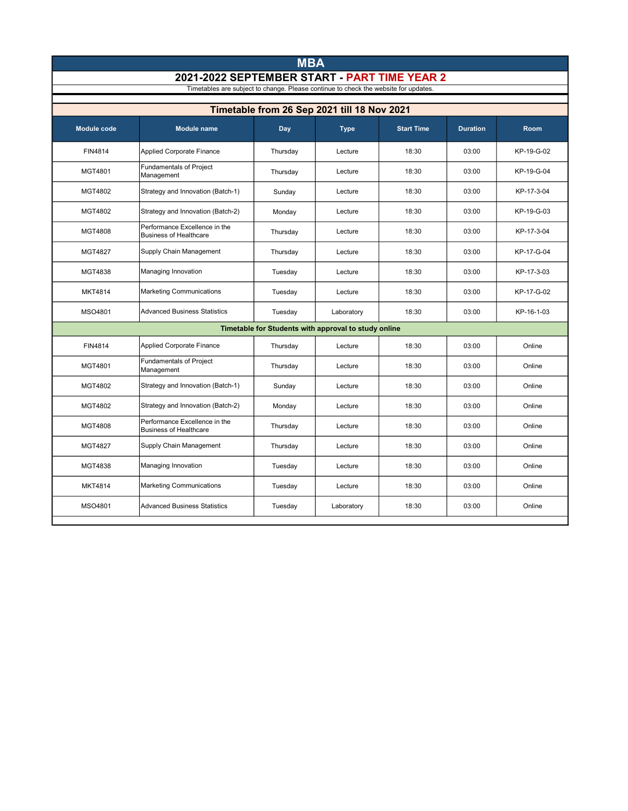| <b>MBA</b>                                                                                                                          |                                                                |          |                                                      |                   |                 |            |  |  |
|-------------------------------------------------------------------------------------------------------------------------------------|----------------------------------------------------------------|----------|------------------------------------------------------|-------------------|-----------------|------------|--|--|
| 2021-2022 SEPTEMBER START - PART TIME YEAR 2<br>Timetables are subject to change. Please continue to check the website for updates. |                                                                |          |                                                      |                   |                 |            |  |  |
|                                                                                                                                     |                                                                |          |                                                      |                   |                 |            |  |  |
|                                                                                                                                     |                                                                |          | Timetable from 26 Sep 2021 till 18 Nov 2021          |                   |                 |            |  |  |
| <b>Module code</b>                                                                                                                  | <b>Module name</b>                                             | Day      | <b>Type</b>                                          | <b>Start Time</b> | <b>Duration</b> | Room       |  |  |
| FIN4814                                                                                                                             | <b>Applied Corporate Finance</b>                               | Thursday | Lecture                                              | 18:30             | 03:00           | KP-19-G-02 |  |  |
| MGT4801                                                                                                                             | Fundamentals of Project<br>Management                          | Thursday | Lecture                                              | 18:30             | 03:00           | KP-19-G-04 |  |  |
| MGT4802                                                                                                                             | Strategy and Innovation (Batch-1)                              | Sunday   | Lecture                                              | 18:30             | 03:00           | KP-17-3-04 |  |  |
| MGT4802                                                                                                                             | Strategy and Innovation (Batch-2)                              | Monday   | Lecture                                              | 18:30             | 03:00           | KP-19-G-03 |  |  |
| MGT4808                                                                                                                             | Performance Excellence in the<br><b>Business of Healthcare</b> | Thursday | Lecture                                              | 18:30             | 03:00           | KP-17-3-04 |  |  |
| <b>MGT4827</b>                                                                                                                      | Supply Chain Management                                        | Thursday | Lecture                                              | 18:30             | 03:00           | KP-17-G-04 |  |  |
| MGT4838                                                                                                                             | Managing Innovation                                            | Tuesday  | Lecture                                              | 18:30             | 03:00           | KP-17-3-03 |  |  |
| <b>MKT4814</b>                                                                                                                      | <b>Marketing Communications</b>                                | Tuesday  | Lecture                                              | 18:30             | 03:00           | KP-17-G-02 |  |  |
| MSO4801                                                                                                                             | <b>Advanced Business Statistics</b>                            | Tuesday  | Laboratory                                           | 18:30             | 03:00           | KP-16-1-03 |  |  |
|                                                                                                                                     |                                                                |          | Timetable for Students with approval to study online |                   |                 |            |  |  |
| FIN4814                                                                                                                             | <b>Applied Corporate Finance</b>                               | Thursday | Lecture                                              | 18:30             | 03:00           | Online     |  |  |
| MGT4801                                                                                                                             | <b>Fundamentals of Project</b><br>Management                   | Thursday | Lecture                                              | 18:30             | 03:00           | Online     |  |  |
| MGT4802                                                                                                                             | Strategy and Innovation (Batch-1)                              | Sunday   | Lecture                                              | 18:30             | 03:00           | Online     |  |  |
| MGT4802                                                                                                                             | Strategy and Innovation (Batch-2)                              | Monday   | Lecture                                              | 18:30             | 03:00           | Online     |  |  |
| MGT4808                                                                                                                             | Performance Excellence in the<br><b>Business of Healthcare</b> | Thursday | Lecture                                              | 18:30             | 03:00           | Online     |  |  |
| <b>MGT4827</b>                                                                                                                      | Supply Chain Management                                        | Thursday | Lecture                                              | 18:30             | 03:00           | Online     |  |  |
| MGT4838                                                                                                                             | Managing Innovation                                            | Tuesday  | Lecture                                              | 18:30             | 03:00           | Online     |  |  |
| <b>MKT4814</b>                                                                                                                      | <b>Marketing Communications</b>                                | Tuesday  | Lecture                                              | 18:30             | 03:00           | Online     |  |  |
| MSO4801                                                                                                                             | <b>Advanced Business Statistics</b>                            | Tuesday  | Laboratory                                           | 18:30             | 03:00           | Online     |  |  |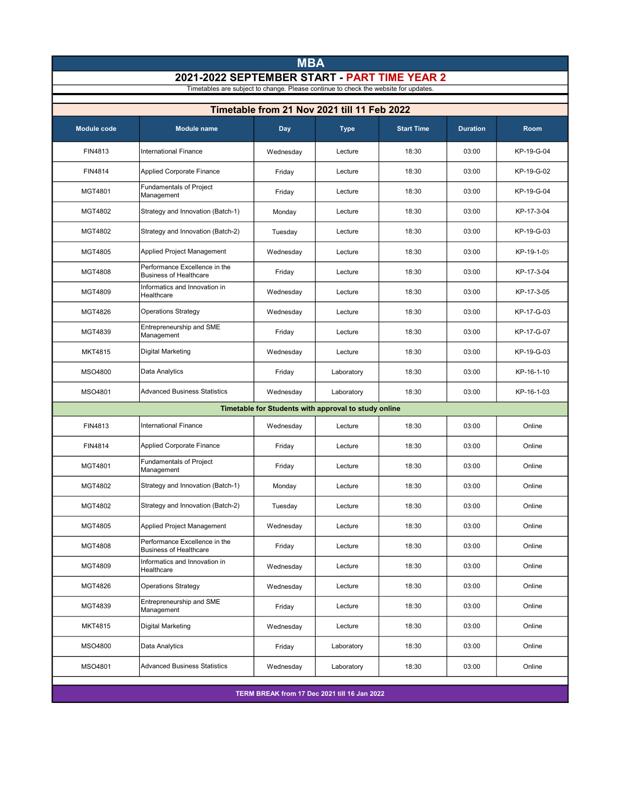| <b>MBA</b>                                                                         |                                                                |           |                                                      |                   |                 |            |  |  |
|------------------------------------------------------------------------------------|----------------------------------------------------------------|-----------|------------------------------------------------------|-------------------|-----------------|------------|--|--|
| 2021-2022 SEPTEMBER START - PART TIME YEAR 2                                       |                                                                |           |                                                      |                   |                 |            |  |  |
| Timetables are subject to change. Please continue to check the website for updates |                                                                |           |                                                      |                   |                 |            |  |  |
| Timetable from 21 Nov 2021 till 11 Feb 2022                                        |                                                                |           |                                                      |                   |                 |            |  |  |
| <b>Module code</b>                                                                 | <b>Module name</b>                                             | Day       | <b>Type</b>                                          | <b>Start Time</b> | <b>Duration</b> | Room       |  |  |
| FIN4813                                                                            | International Finance                                          | Wednesday | Lecture                                              | 18:30             | 03:00           | KP-19-G-04 |  |  |
| FIN4814                                                                            | <b>Applied Corporate Finance</b>                               | Friday    | Lecture                                              | 18:30             | 03:00           | KP-19-G-02 |  |  |
| MGT4801                                                                            | Fundamentals of Project<br>Management                          | Friday    | Lecture                                              | 18:30             | 03:00           | KP-19-G-04 |  |  |
| MGT4802                                                                            | Strategy and Innovation (Batch-1)                              | Monday    | Lecture                                              | 18:30             | 03:00           | KP-17-3-04 |  |  |
| MGT4802                                                                            | Strategy and Innovation (Batch-2)                              | Tuesday   | Lecture                                              | 18:30             | 03:00           | KP-19-G-03 |  |  |
| MGT4805                                                                            | Applied Project Management                                     | Wednesday | Lecture                                              | 18:30             | 03:00           | KP-19-1-05 |  |  |
| MGT4808                                                                            | Performance Excellence in the<br><b>Business of Healthcare</b> | Friday    | Lecture                                              | 18:30             | 03:00           | KP-17-3-04 |  |  |
| MGT4809                                                                            | Informatics and Innovation in<br>Healthcare                    | Wednesday | Lecture                                              | 18:30             | 03:00           | KP-17-3-05 |  |  |
| MGT4826                                                                            | <b>Operations Strategy</b>                                     | Wednesday | Lecture                                              | 18:30             | 03:00           | KP-17-G-03 |  |  |
| MGT4839                                                                            | Entrepreneurship and SME<br>Management                         | Friday    | Lecture                                              | 18:30             | 03:00           | KP-17-G-07 |  |  |
| MKT4815                                                                            | Digital Marketing                                              | Wednesday | Lecture                                              | 18:30             | 03:00           | KP-19-G-03 |  |  |
| MSO4800                                                                            | Data Analytics                                                 | Friday    | Laboratory                                           | 18:30             | 03:00           | KP-16-1-10 |  |  |
| MSO4801                                                                            | <b>Advanced Business Statistics</b>                            | Wednesday | Laboratory                                           | 18:30             | 03:00           | KP-16-1-03 |  |  |
|                                                                                    |                                                                |           | Timetable for Students with approval to study online |                   |                 |            |  |  |
| FIN4813                                                                            | <b>International Finance</b>                                   | Wednesday | Lecture                                              | 18:30             | 03:00           | Online     |  |  |
| FIN4814                                                                            | <b>Applied Corporate Finance</b>                               | Friday    | Lecture                                              | 18:30             | 03:00           | Online     |  |  |
| MGT4801                                                                            | <b>Fundamentals of Project</b><br>Management                   | Friday    | Lecture                                              | 18:30             | 03:00           | Online     |  |  |
| MGT4802                                                                            | Strategy and Innovation (Batch-1)                              | Monday    | Lecture                                              | 18:30             | 03:00           | Online     |  |  |
| MGT4802                                                                            | Strategy and Innovation (Batch-2)                              | Tuesday   | Lecture                                              | 18:30             | 03:00           | Online     |  |  |
| MGT4805                                                                            | Applied Project Management                                     | Wednesday | Lecture                                              | 18:30             | 03:00           | Online     |  |  |
| MGT4808                                                                            | Performance Excellence in the<br><b>Business of Healthcare</b> | Friday    | Lecture                                              | 18:30             | 03:00           | Online     |  |  |
| MGT4809                                                                            | Informatics and Innovation in<br>Healthcare                    | Wednesday | Lecture                                              | 18:30             | 03:00           | Online     |  |  |
| MGT4826                                                                            | <b>Operations Strategy</b>                                     | Wednesday | Lecture                                              | 18:30             | 03:00           | Online     |  |  |
| MGT4839                                                                            | Entrepreneurship and SME<br>Management                         | Friday    | Lecture                                              | 18:30             | 03:00           | Online     |  |  |
| MKT4815                                                                            | Digital Marketing                                              | Wednesday | Lecture                                              | 18:30             | 03:00           | Online     |  |  |
| MSO4800                                                                            | Data Analytics                                                 | Friday    | Laboratory                                           | 18:30             | 03:00           | Online     |  |  |
| MSO4801                                                                            | <b>Advanced Business Statistics</b>                            | Wednesday | Laboratory                                           | 18:30             | 03:00           | Online     |  |  |
| TERM BREAK from 17 Dec 2021 till 16 Jan 2022                                       |                                                                |           |                                                      |                   |                 |            |  |  |